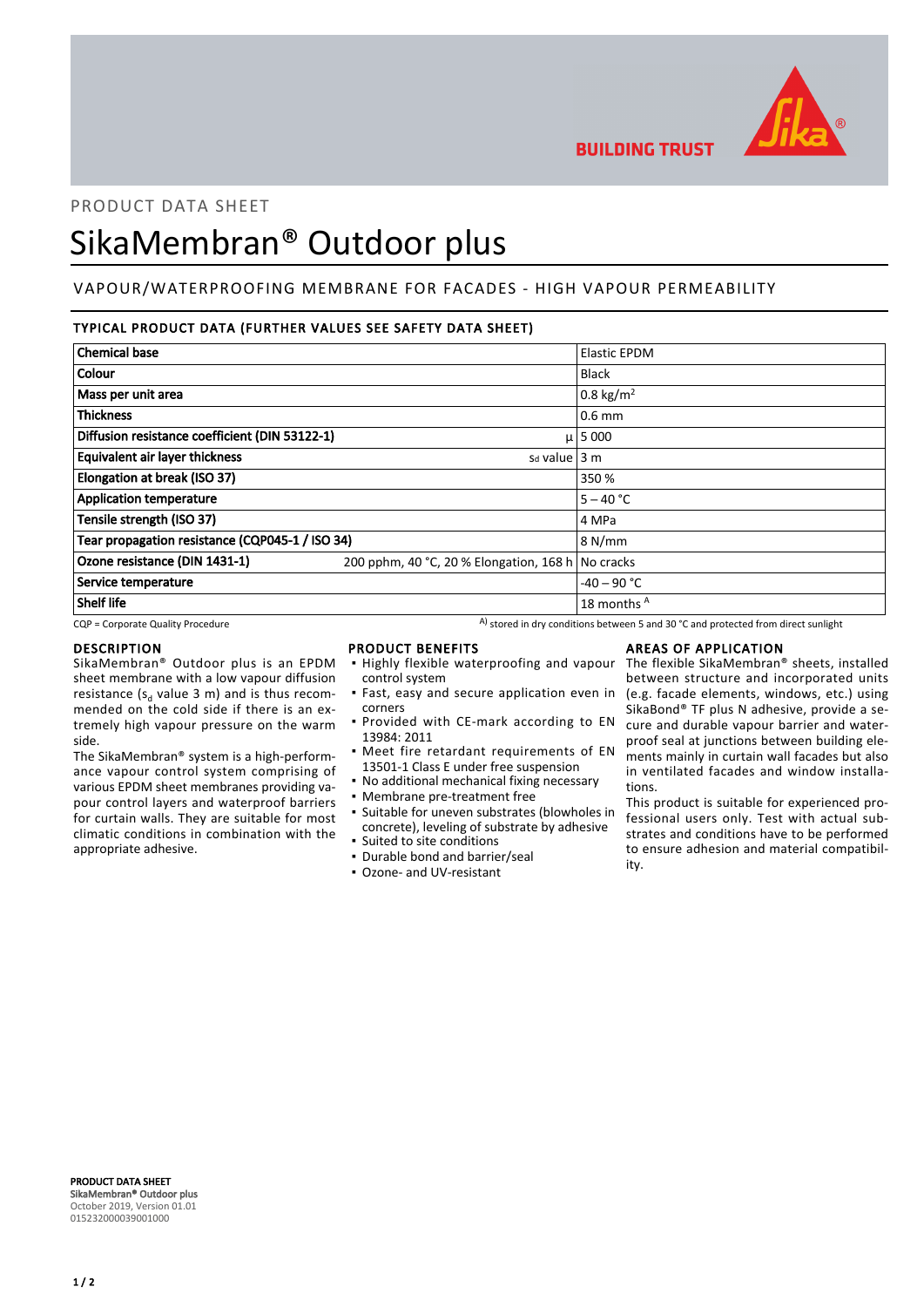

**BUILDING TRUST** 

# PRODUCT DATA SHEET

# SikaMembran® Outdoor plus

## VAPOUR/WATERPROOFING MEMBRANE FOR FACADES - HIGH VAPOUR PERMEABILITY

## TYPICAL PRODUCT DATA (FURTHER VALUES SEE SAFETY DATA SHEET)

| <b>Chemical base</b>                            |                                                                                    |                     |
|-------------------------------------------------|------------------------------------------------------------------------------------|---------------------|
|                                                 |                                                                                    | <b>Elastic EPDM</b> |
| Colour                                          |                                                                                    | <b>Black</b>        |
| Mass per unit area                              |                                                                                    | 0.8 kg/ $m^2$       |
| <b>Thickness</b>                                |                                                                                    | $0.6$ mm            |
| Diffusion resistance coefficient (DIN 53122-1)  |                                                                                    | $\mu$   5 000       |
| <b>Equivalent air layer thickness</b>           | $sd$ value $ 3 \text{ m} $                                                         |                     |
| Elongation at break (ISO 37)                    |                                                                                    | 350 %               |
| <b>Application temperature</b>                  |                                                                                    | $5 - 40 °C$         |
| Tensile strength (ISO 37)                       |                                                                                    | 4 MPa               |
| Tear propagation resistance (CQP045-1 / ISO 34) |                                                                                    | 8 N/mm              |
| Ozone resistance (DIN 1431-1)                   | 200 pphm, 40 °C, 20 % Elongation, 168 h No cracks                                  |                     |
| Service temperature                             |                                                                                    | $-40 - 90$ °C       |
| <b>Shelf life</b>                               |                                                                                    | 18 months A         |
| CQP = Corporate Quality Procedure               | A) stored in dry conditions between 5 and 30 °C and protected from direct sunlight |                     |

#### DESCRIPTION

SikaMembran® Outdoor plus is an EPDM sheet membrane with a low vapour diffusion resistance ( $s_d$  value 3 m) and is thus recommended on the cold side if there is an extremely high vapour pressure on the warm side.

The SikaMembran® system is a high-performance vapour control system comprising of various EPDM sheet membranes providing vapour control layers and waterproof barriers for curtain walls. They are suitable for most climatic conditions in combination with the appropriate adhesive.

- PRODUCT BENEFITS
- **.** Highly flexible waterproofing and vapour control system
- Fast, easy and secure application even in corners
- **Provided with CE-mark according to EN** 13984: 2011
- **•** Meet fire retardant requirements of EN 13501-1 Class E under free suspension
- No additional mechanical fixing necessary
- Membrane pre-treatment free
- Suitable for uneven substrates (blowholes in concrete), leveling of substrate by adhesive
- Suited to site conditions
- Durable bond and barrier/seal
- Ozone- and UV-resistant

#### AREAS OF APPLICATION

The flexible SikaMembran® sheets, installed between structure and incorporated units (e.g. facade elements, windows, etc.) using SikaBond® TF plus N adhesive, provide a secure and durable vapour barrier and waterproof seal at junctions between building elements mainly in curtain wall facades but also in ventilated facades and window installations.

This product is suitable for experienced professional users only. Test with actual substrates and conditions have to be performed to ensure adhesion and material compatibility.

PRODUCT DATA SHEET SikaMembran® Outdoor plus October 2019, Version 01.01 015232000039001000